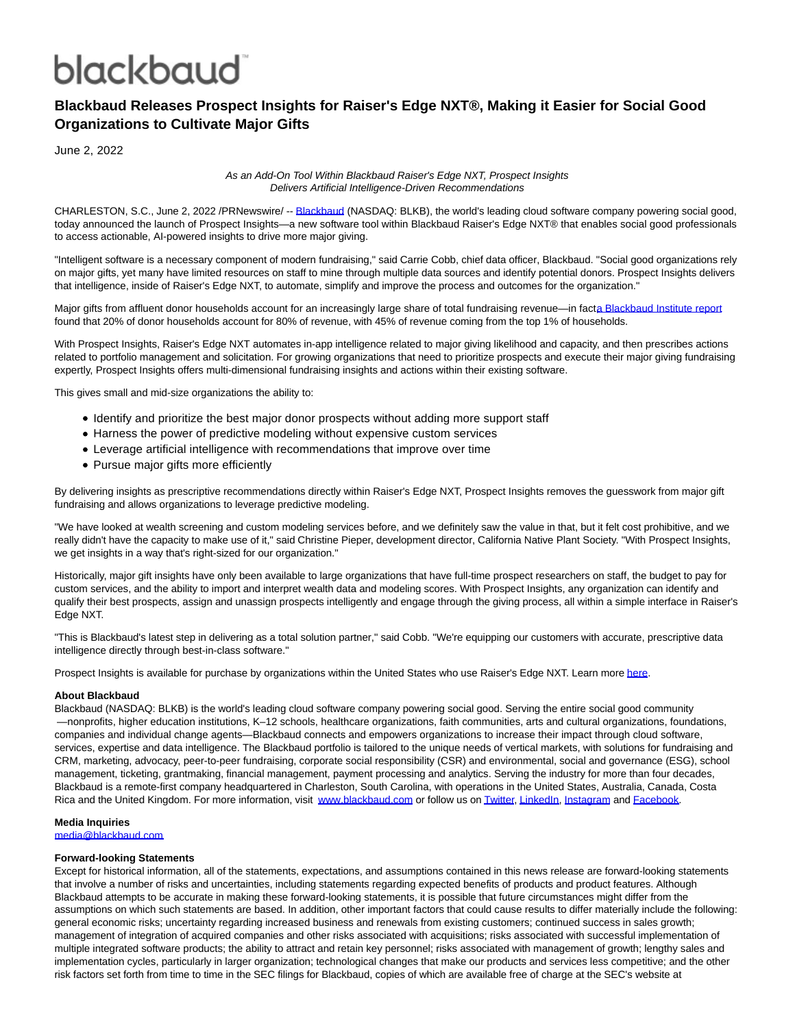# blackbaud<sup>®</sup>

## **Blackbaud Releases Prospect Insights for Raiser's Edge NXT®, Making it Easier for Social Good Organizations to Cultivate Major Gifts**

June 2, 2022

As an Add-On Tool Within Blackbaud Raiser's Edge NXT, Prospect Insights Delivers Artificial Intelligence-Driven Recommendations

CHARLESTON, S.C., June 2, 2022 /PRNewswire/ -- [Blackbaud \(](https://c212.net/c/link/?t=0&l=en&o=3555236-1&h=3685404880&u=http%3A%2F%2Fwww.blackbaud.com%2F&a=Blackbaud)NASDAQ: BLKB), the world's leading cloud software company powering social good, today announced the launch of Prospect Insights—a new software tool within Blackbaud Raiser's Edge NXT® that enables social good professionals to access actionable, AI-powered insights to drive more major giving.

"Intelligent software is a necessary component of modern fundraising," said Carrie Cobb, chief data officer, Blackbaud. "Social good organizations rely on major gifts, yet many have limited resources on staff to mine through multiple data sources and identify potential donors. Prospect Insights delivers that intelligence, inside of Raiser's Edge NXT, to automate, simplify and improve the process and outcomes for the organization."

Major gifts from affluent donor households account for an increasingly large share of total fundraising revenue—in facta Blackbaud Institute report found that 20% of donor households account for 80% of revenue, with 45% of revenue coming from the top 1% of households.

With Prospect Insights, Raiser's Edge NXT automates in-app intelligence related to major giving likelihood and capacity, and then prescribes actions related to portfolio management and solicitation. For growing organizations that need to prioritize prospects and execute their major giving fundraising expertly, Prospect Insights offers multi-dimensional fundraising insights and actions within their existing software.

This gives small and mid-size organizations the ability to:

- Identify and prioritize the best major donor prospects without adding more support staff
- Harness the power of predictive modeling without expensive custom services
- Leverage artificial intelligence with recommendations that improve over time
- Pursue major gifts more efficiently

By delivering insights as prescriptive recommendations directly within Raiser's Edge NXT, Prospect Insights removes the guesswork from major gift fundraising and allows organizations to leverage predictive modeling.

"We have looked at wealth screening and custom modeling services before, and we definitely saw the value in that, but it felt cost prohibitive, and we really didn't have the capacity to make use of it," said Christine Pieper, development director, California Native Plant Society. "With Prospect Insights, we get insights in a way that's right-sized for our organization."

Historically, major gift insights have only been available to large organizations that have full-time prospect researchers on staff, the budget to pay for custom services, and the ability to import and interpret wealth data and modeling scores. With Prospect Insights, any organization can identify and qualify their best prospects, assign and unassign prospects intelligently and engage through the giving process, all within a simple interface in Raiser's Edge NXT.

"This is Blackbaud's latest step in delivering as a total solution partner," said Cobb. "We're equipping our customers with accurate, prescriptive data intelligence directly through best-in-class software."

Prospect Insights is available for purchase by organizations within the United States who use Raiser's Edge NXT. Learn mor[e here.](https://c212.net/c/link/?t=0&l=en&o=3555236-1&h=71544146&u=https%3A%2F%2Fhello.blackbaud.com%2FIntroduction-to-Prospect-Insights-for-Blackbaud-Raisers-Edge-NXT.html&a=here)

### **About Blackbaud**

Blackbaud (NASDAQ: BLKB) is the world's leading cloud software company powering social good. Serving the entire social good community —nonprofits, higher education institutions, K–12 schools, healthcare organizations, faith communities, arts and cultural organizations, foundations, companies and individual change agents—Blackbaud connects and empowers organizations to increase their impact through cloud software, services, expertise and data intelligence. The Blackbaud portfolio is tailored to the unique needs of vertical markets, with solutions for fundraising and CRM, marketing, advocacy, peer-to-peer fundraising, corporate social responsibility (CSR) and environmental, social and governance (ESG), school management, ticketing, grantmaking, financial management, payment processing and analytics. Serving the industry for more than four decades, Blackbaud is a remote-first company headquartered in Charleston, South Carolina, with operations in the United States, Australia, Canada, Costa Rica and the United Kingdom. For more information, visit [www.blackbaud.com o](https://c212.net/c/link/?t=0&l=en&o=3555236-1&h=4111040153&u=http%3A%2F%2Fwww.blackbaud.com%2F&a=www.blackbaud.com)r follow us o[n Twitter,](https://c212.net/c/link/?t=0&l=en&o=3555236-1&h=132427175&u=https%3A%2F%2Ftwitter.com%2Fblackbaud&a=Twitter) [LinkedIn,](https://c212.net/c/link/?t=0&l=en&o=3555236-1&h=1912128962&u=https%3A%2F%2Fwww.linkedin.com%2Fcompany%2Fblackbaud%2F&a=LinkedIn) [Instagram a](https://c212.net/c/link/?t=0&l=en&o=3555236-1&h=3850099890&u=https%3A%2F%2Fwww.instagram.com%2Fblackbaud%2F&a=Instagram)nd [Facebook.](https://c212.net/c/link/?t=0&l=en&o=3555236-1&h=2174785898&u=https%3A%2F%2Fwww.facebook.com%2Fblackbaud%2F&a=Facebook)

#### **Media Inquiries**

[media@blackbaud.com](mailto:media@blackbaud.com)

### **Forward-looking Statements**

Except for historical information, all of the statements, expectations, and assumptions contained in this news release are forward-looking statements that involve a number of risks and uncertainties, including statements regarding expected benefits of products and product features. Although Blackbaud attempts to be accurate in making these forward-looking statements, it is possible that future circumstances might differ from the assumptions on which such statements are based. In addition, other important factors that could cause results to differ materially include the following: general economic risks; uncertainty regarding increased business and renewals from existing customers; continued success in sales growth; management of integration of acquired companies and other risks associated with acquisitions; risks associated with successful implementation of multiple integrated software products; the ability to attract and retain key personnel; risks associated with management of growth; lengthy sales and implementation cycles, particularly in larger organization; technological changes that make our products and services less competitive; and the other risk factors set forth from time to time in the SEC filings for Blackbaud, copies of which are available free of charge at the SEC's website at